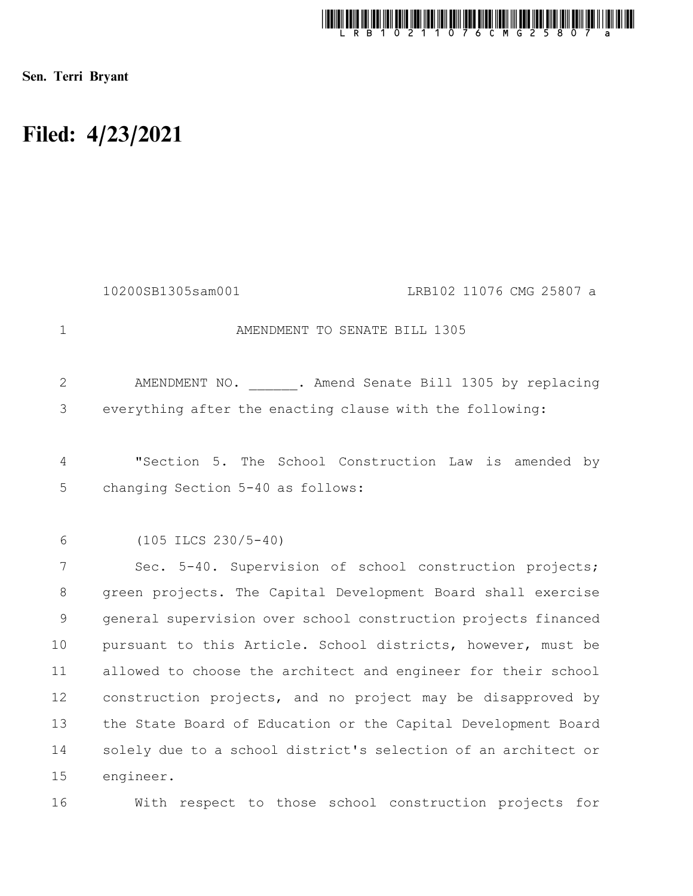

Sen. Terri Bryant

## Filed: 4/23/2021

|                | 10200SB1305sam001<br>LRB102 11076 CMG 25807 a                  |
|----------------|----------------------------------------------------------------|
| $\mathbf{1}$   | AMENDMENT TO SENATE BILL 1305                                  |
| $\overline{2}$ | AMENDMENT NO. . Amend Senate Bill 1305 by replacing            |
| 3              | everything after the enacting clause with the following:       |
| 4              | "Section 5. The School Construction Law is amended by          |
| 5              | changing Section 5-40 as follows:                              |
|                |                                                                |
| 6              | $(105$ ILCS $230/5-40)$                                        |
| 7              | Sec. 5-40. Supervision of school construction projects;        |
| 8              | green projects. The Capital Development Board shall exercise   |
| $\mathsf 9$    | general supervision over school construction projects financed |
| 10             | pursuant to this Article. School districts, however, must be   |
| 11             | allowed to choose the architect and engineer for their school  |
| 12             | construction projects, and no project may be disapproved by    |
| 13             | the State Board of Education or the Capital Development Board  |
| 14             | solely due to a school district's selection of an architect or |
| 15             | engineer.                                                      |
| 16             | With respect to those school construction projects for         |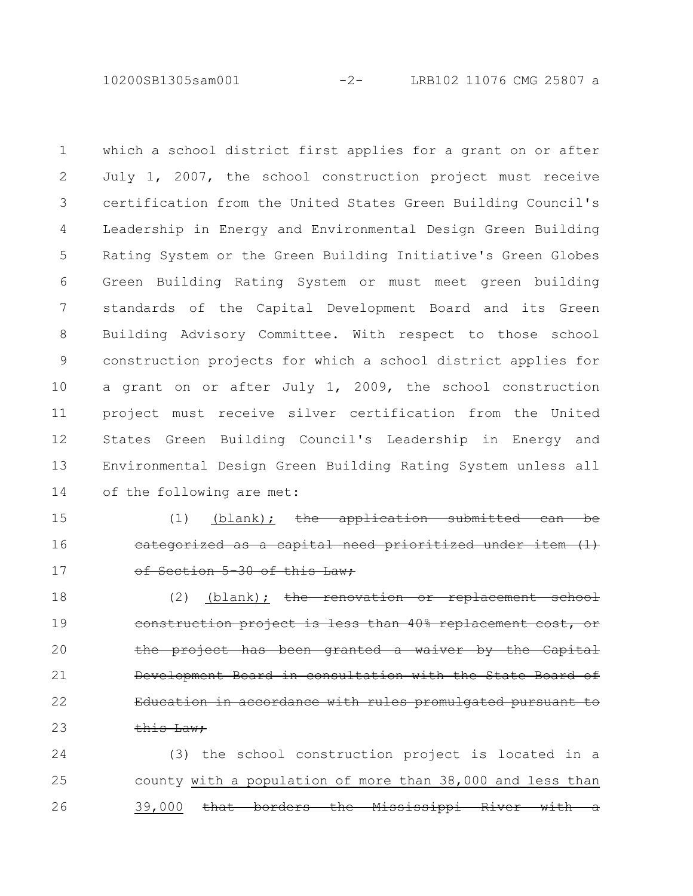10200SB1305sam001 -2- LRB102 11076 CMG 25807 a

which a school district first applies for a grant on or after July 1, 2007, the school construction project must receive certification from the United States Green Building Council's Leadership in Energy and Environmental Design Green Building Rating System or the Green Building Initiative's Green Globes Green Building Rating System or must meet green building standards of the Capital Development Board and its Green Building Advisory Committee. With respect to those school construction projects for which a school district applies for a grant on or after July 1, 2009, the school construction project must receive silver certification from the United States Green Building Council's Leadership in Energy and Environmental Design Green Building Rating System unless all of the following are met: 1 2 3 4 5 6 7 8 9 10 11 12 13 14

 $(1)$  (blank); the application categorized as a capital need prioritized under of Section 5 30 of this Law; 15 16 17

 $(2)$  (blank); the renovation or replacement school construction project is less than 40% replacement the project has been granted a waiver by Development Board in consultation with the State Board of Education in accordance with rules promulgated pursuant this Law: 18 19 20 21 22 23

(3) the school construction project is located in a county with a population of more than 38,000 and less than 39,000 that borders the Mississippi River 24 25 26